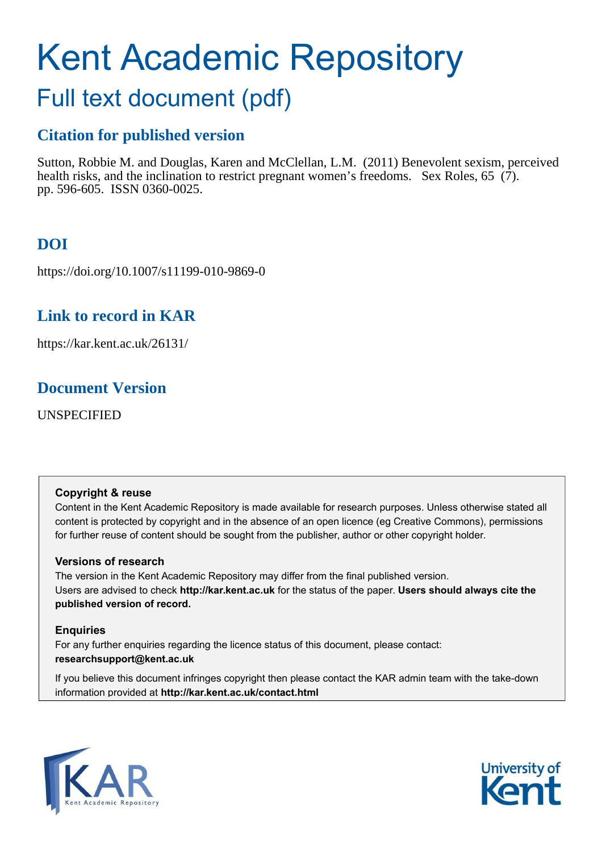# Kent Academic Repository

## Full text document (pdf)

## **Citation for published version**

Sutton, Robbie M. and Douglas, Karen and McClellan, L.M. (2011) Benevolent sexism, perceived health risks, and the inclination to restrict pregnant women's freedoms. Sex Roles, 65 (7). pp. 596-605. ISSN 0360-0025.

## **DOI**

https://doi.org/10.1007/s11199-010-9869-0

## **Link to record in KAR**

https://kar.kent.ac.uk/26131/

## **Document Version**

UNSPECIFIED

#### **Copyright & reuse**

Content in the Kent Academic Repository is made available for research purposes. Unless otherwise stated all content is protected by copyright and in the absence of an open licence (eg Creative Commons), permissions for further reuse of content should be sought from the publisher, author or other copyright holder.

#### **Versions of research**

The version in the Kent Academic Repository may differ from the final published version. Users are advised to check **http://kar.kent.ac.uk** for the status of the paper. **Users should always cite the published version of record.**

#### **Enquiries**

For any further enquiries regarding the licence status of this document, please contact: **researchsupport@kent.ac.uk**

If you believe this document infringes copyright then please contact the KAR admin team with the take-down information provided at **http://kar.kent.ac.uk/contact.html**



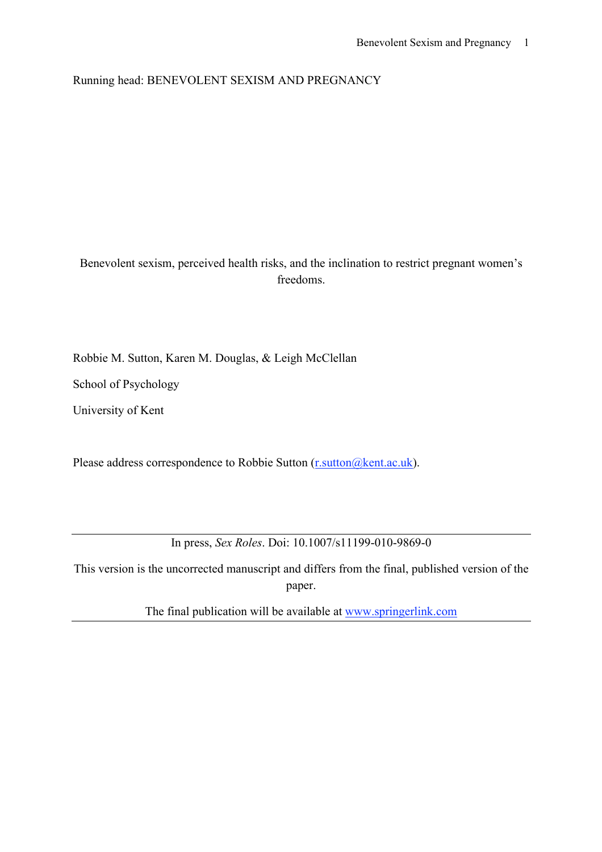Running head: BENEVOLENT SEXISM AND PREGNANCY

#### Benevolent sexism, perceived health risks, and the inclination to restrict pregnant women's freedoms.

Robbie M. Sutton, Karen M. Douglas, & Leigh McClellan

School of Psychology

University of Kent

Please address correspondence to Robbie Sutton (r.sutton @kent.ac.uk).

In press, *Sex Roles*. Doi: 10.1007/s11199-010-9869-0

This version is the uncorrected manuscript and differs from the final, published version of the paper.

The final publication will be available at www.springerlink.com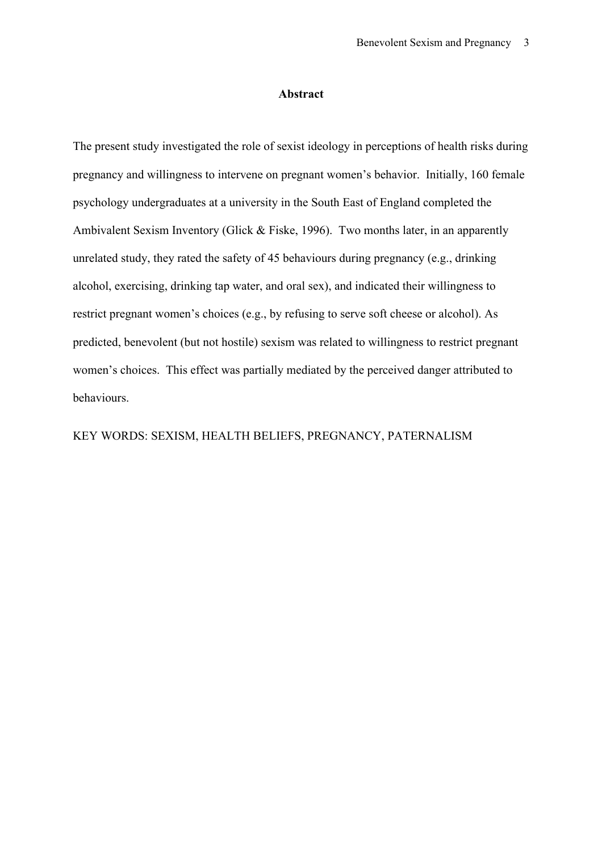#### **Abstract**

The present study investigated the role of sexist ideology in perceptions of health risks during pregnancy and willingness to intervene on pregnant women's behavior. Initially, 160 female psychology undergraduates at a university in the South East of England completed the Ambivalent Sexism Inventory (Glick & Fiske, 1996). Two months later, in an apparently unrelated study, they rated the safety of 45 behaviours during pregnancy (e.g., drinking alcohol, exercising, drinking tap water, and oral sex), and indicated their willingness to restrict pregnant women's choices (e.g., by refusing to serve soft cheese or alcohol). As predicted, benevolent (but not hostile) sexism was related to willingness to restrict pregnant women's choices. This effect was partially mediated by the perceived danger attributed to behaviours.

#### KEY WORDS: SEXISM, HEALTH BELIEFS, PREGNANCY, PATERNALISM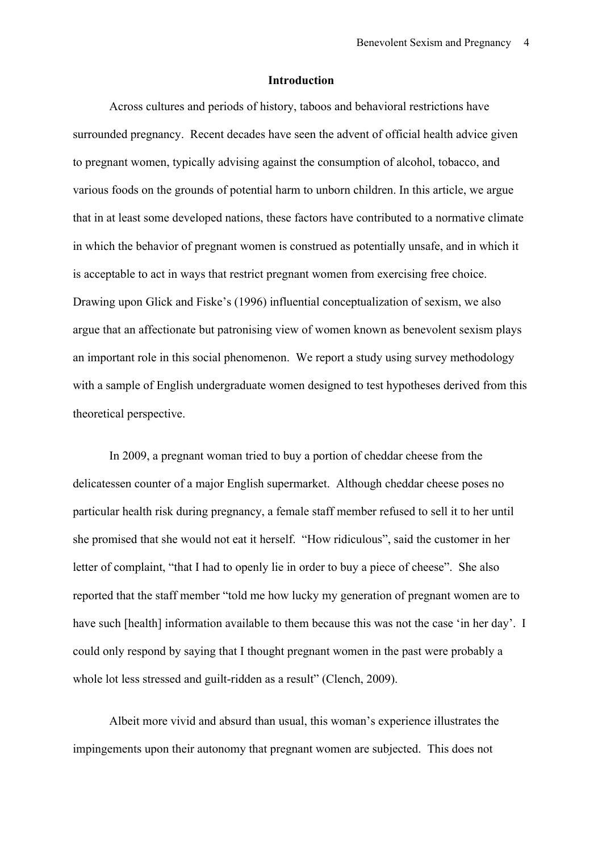#### **Introduction**

Across cultures and periods of history, taboos and behavioral restrictions have surrounded pregnancy. Recent decades have seen the advent of official health advice given to pregnant women, typically advising against the consumption of alcohol, tobacco, and various foods on the grounds of potential harm to unborn children. In this article, we argue that in at least some developed nations, these factors have contributed to a normative climate in which the behavior of pregnant women is construed as potentially unsafe, and in which it is acceptable to act in ways that restrict pregnant women from exercising free choice. Drawing upon Glick and Fiske's (1996) influential conceptualization of sexism, we also argue that an affectionate but patronising view of women known as benevolent sexism plays an important role in this social phenomenon. We report a study using survey methodology with a sample of English undergraduate women designed to test hypotheses derived from this theoretical perspective.

In 2009, a pregnant woman tried to buy a portion of cheddar cheese from the delicatessen counter of a major English supermarket. Although cheddar cheese poses no particular health risk during pregnancy, a female staff member refused to sell it to her until she promised that she would not eat it herself. "How ridiculous", said the customer in her letter of complaint, "that I had to openly lie in order to buy a piece of cheese". She also reported that the staff member "told me how lucky my generation of pregnant women are to have such [health] information available to them because this was not the case 'in her day'. I could only respond by saying that I thought pregnant women in the past were probably a whole lot less stressed and guilt-ridden as a result" (Clench, 2009).

Albeit more vivid and absurd than usual, this woman's experience illustrates the impingements upon their autonomy that pregnant women are subjected. This does not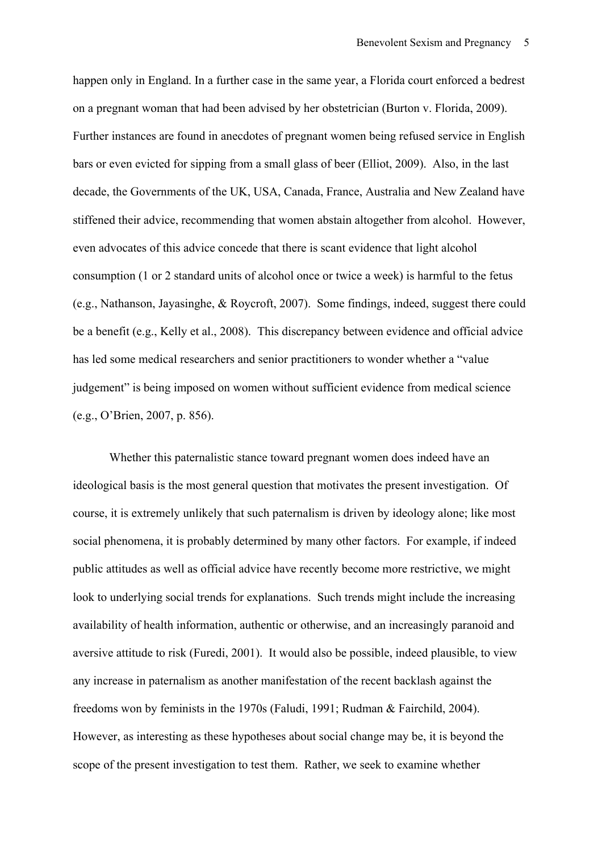happen only in England. In a further case in the same year, a Florida court enforced a bedrest on a pregnant woman that had been advised by her obstetrician (Burton v. Florida, 2009). Further instances are found in anecdotes of pregnant women being refused service in English bars or even evicted for sipping from a small glass of beer (Elliot, 2009). Also, in the last decade, the Governments of the UK, USA, Canada, France, Australia and New Zealand have stiffened their advice, recommending that women abstain altogether from alcohol. However, even advocates of this advice concede that there is scant evidence that light alcohol consumption (1 or 2 standard units of alcohol once or twice a week) is harmful to the fetus (e.g., Nathanson, Jayasinghe, & Roycroft, 2007). Some findings, indeed, suggest there could be a benefit (e.g., Kelly et al., 2008). This discrepancy between evidence and official advice has led some medical researchers and senior practitioners to wonder whether a "value judgement" is being imposed on women without sufficient evidence from medical science (e.g., O'Brien, 2007, p. 856).

Whether this paternalistic stance toward pregnant women does indeed have an ideological basis is the most general question that motivates the present investigation. Of course, it is extremely unlikely that such paternalism is driven by ideology alone; like most social phenomena, it is probably determined by many other factors. For example, if indeed public attitudes as well as official advice have recently become more restrictive, we might look to underlying social trends for explanations. Such trends might include the increasing availability of health information, authentic or otherwise, and an increasingly paranoid and aversive attitude to risk (Furedi, 2001). It would also be possible, indeed plausible, to view any increase in paternalism as another manifestation of the recent backlash against the freedoms won by feminists in the 1970s (Faludi, 1991; Rudman & Fairchild, 2004). However, as interesting as these hypotheses about social change may be, it is beyond the scope of the present investigation to test them. Rather, we seek to examine whether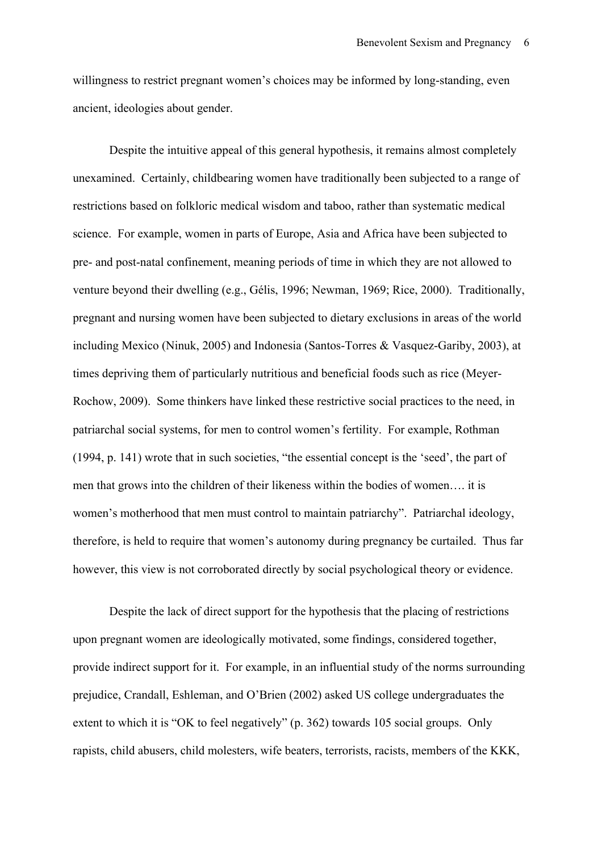willingness to restrict pregnant women's choices may be informed by long-standing, even ancient, ideologies about gender.

Despite the intuitive appeal of this general hypothesis, it remains almost completely unexamined. Certainly, childbearing women have traditionally been subjected to a range of restrictions based on folkloric medical wisdom and taboo, rather than systematic medical science. For example, women in parts of Europe, Asia and Africa have been subjected to pre- and post-natal confinement, meaning periods of time in which they are not allowed to venture beyond their dwelling (e.g., Gélis, 1996; Newman, 1969; Rice, 2000). Traditionally, pregnant and nursing women have been subjected to dietary exclusions in areas of the world including Mexico (Ninuk, 2005) and Indonesia (Santos-Torres & Vasquez-Gariby, 2003), at times depriving them of particularly nutritious and beneficial foods such as rice (Meyer-Rochow, 2009). Some thinkers have linked these restrictive social practices to the need, in patriarchal social systems, for men to control women's fertility. For example, Rothman (1994, p. 141) wrote that in such societies, "the essential concept is the 'seed', the part of men that grows into the children of their likeness within the bodies of women…. it is women's motherhood that men must control to maintain patriarchy". Patriarchal ideology, therefore, is held to require that women's autonomy during pregnancy be curtailed. Thus far however, this view is not corroborated directly by social psychological theory or evidence.

Despite the lack of direct support for the hypothesis that the placing of restrictions upon pregnant women are ideologically motivated, some findings, considered together, provide indirect support for it. For example, in an influential study of the norms surrounding prejudice, Crandall, Eshleman, and O'Brien (2002) asked US college undergraduates the extent to which it is "OK to feel negatively" (p. 362) towards 105 social groups. Only rapists, child abusers, child molesters, wife beaters, terrorists, racists, members of the KKK,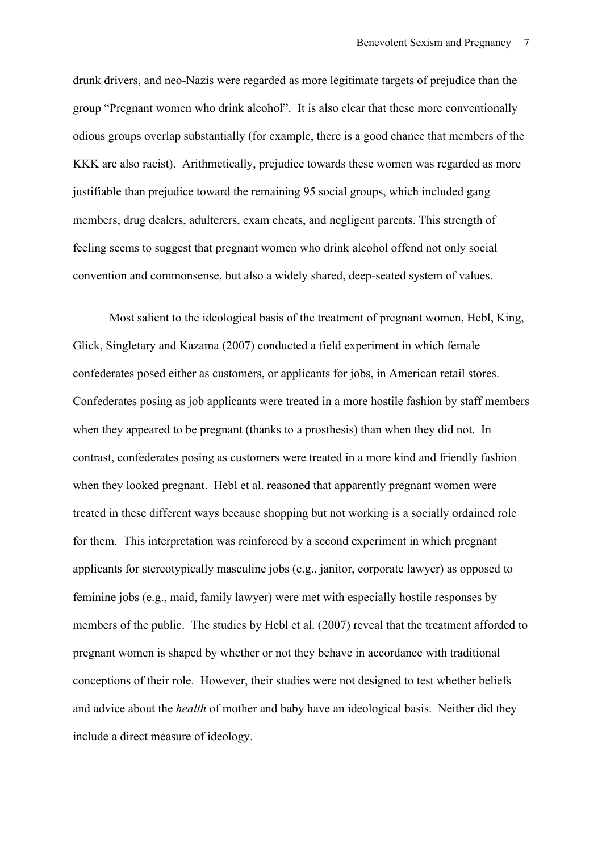drunk drivers, and neo-Nazis were regarded as more legitimate targets of prejudice than the group "Pregnant women who drink alcohol". It is also clear that these more conventionally odious groups overlap substantially (for example, there is a good chance that members of the KKK are also racist). Arithmetically, prejudice towards these women was regarded as more justifiable than prejudice toward the remaining 95 social groups, which included gang members, drug dealers, adulterers, exam cheats, and negligent parents. This strength of feeling seems to suggest that pregnant women who drink alcohol offend not only social convention and commonsense, but also a widely shared, deep-seated system of values.

Most salient to the ideological basis of the treatment of pregnant women, Hebl, King, Glick, Singletary and Kazama (2007) conducted a field experiment in which female confederates posed either as customers, or applicants for jobs, in American retail stores. Confederates posing as job applicants were treated in a more hostile fashion by staff members when they appeared to be pregnant (thanks to a prosthesis) than when they did not. In contrast, confederates posing as customers were treated in a more kind and friendly fashion when they looked pregnant. Hebl et al. reasoned that apparently pregnant women were treated in these different ways because shopping but not working is a socially ordained role for them. This interpretation was reinforced by a second experiment in which pregnant applicants for stereotypically masculine jobs (e.g., janitor, corporate lawyer) as opposed to feminine jobs (e.g., maid, family lawyer) were met with especially hostile responses by members of the public. The studies by Hebl et al. (2007) reveal that the treatment afforded to pregnant women is shaped by whether or not they behave in accordance with traditional conceptions of their role. However, their studies were not designed to test whether beliefs and advice about the *health* of mother and baby have an ideological basis. Neither did they include a direct measure of ideology.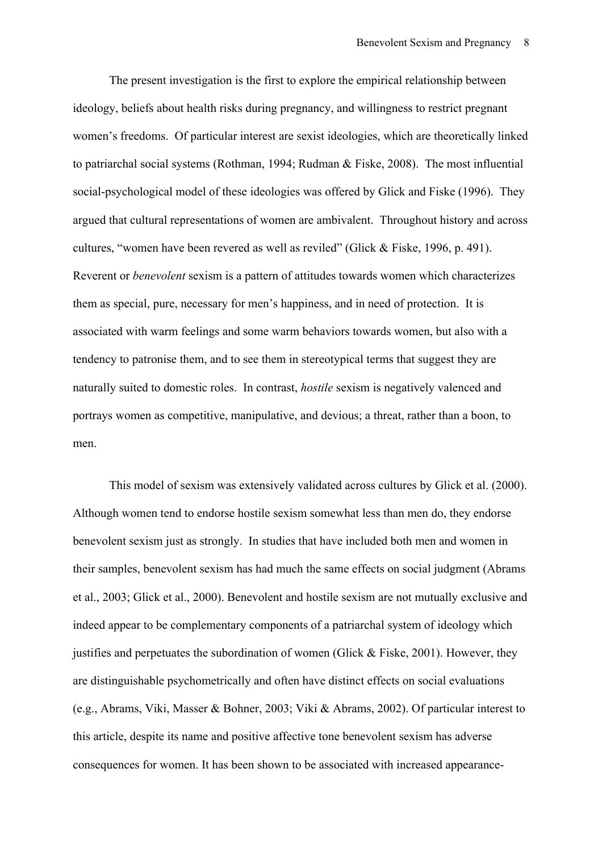The present investigation is the first to explore the empirical relationship between ideology, beliefs about health risks during pregnancy, and willingness to restrict pregnant women's freedoms. Of particular interest are sexist ideologies, which are theoretically linked to patriarchal social systems (Rothman, 1994; Rudman & Fiske, 2008). The most influential social-psychological model of these ideologies was offered by Glick and Fiske (1996). They argued that cultural representations of women are ambivalent. Throughout history and across cultures, "women have been revered as well as reviled" (Glick & Fiske, 1996, p. 491). Reverent or *benevolent* sexism is a pattern of attitudes towards women which characterizes them as special, pure, necessary for men's happiness, and in need of protection. It is associated with warm feelings and some warm behaviors towards women, but also with a tendency to patronise them, and to see them in stereotypical terms that suggest they are naturally suited to domestic roles. In contrast, *hostile* sexism is negatively valenced and portrays women as competitive, manipulative, and devious; a threat, rather than a boon, to men.

This model of sexism was extensively validated across cultures by Glick et al. (2000). Although women tend to endorse hostile sexism somewhat less than men do, they endorse benevolent sexism just as strongly. In studies that have included both men and women in their samples, benevolent sexism has had much the same effects on social judgment (Abrams et al., 2003; Glick et al., 2000). Benevolent and hostile sexism are not mutually exclusive and indeed appear to be complementary components of a patriarchal system of ideology which justifies and perpetuates the subordination of women (Glick  $&$  Fiske, 2001). However, they are distinguishable psychometrically and often have distinct effects on social evaluations (e.g., Abrams, Viki, Masser & Bohner, 2003; Viki & Abrams, 2002). Of particular interest to this article, despite its name and positive affective tone benevolent sexism has adverse consequences for women. It has been shown to be associated with increased appearance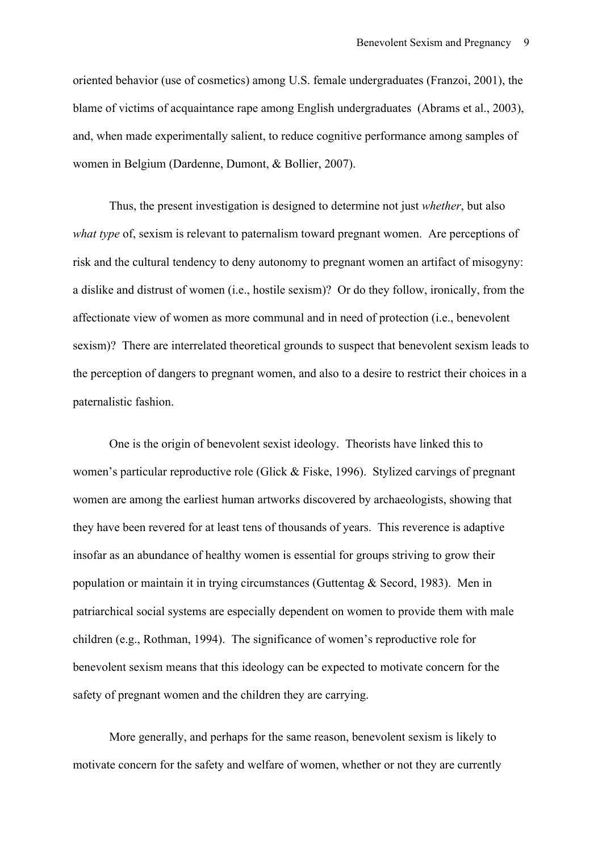oriented behavior (use of cosmetics) among U.S. female undergraduates (Franzoi, 2001), the blame of victims of acquaintance rape among English undergraduates (Abrams et al., 2003), and, when made experimentally salient, to reduce cognitive performance among samples of women in Belgium (Dardenne, Dumont, & Bollier, 2007).

Thus, the present investigation is designed to determine not just *whether*, but also *what type* of, sexism is relevant to paternalism toward pregnant women. Are perceptions of risk and the cultural tendency to deny autonomy to pregnant women an artifact of misogyny: a dislike and distrust of women (i.e., hostile sexism)? Or do they follow, ironically, from the affectionate view of women as more communal and in need of protection (i.e., benevolent sexism)? There are interrelated theoretical grounds to suspect that benevolent sexism leads to the perception of dangers to pregnant women, and also to a desire to restrict their choices in a paternalistic fashion.

One is the origin of benevolent sexist ideology. Theorists have linked this to women's particular reproductive role (Glick & Fiske, 1996). Stylized carvings of pregnant women are among the earliest human artworks discovered by archaeologists, showing that they have been revered for at least tens of thousands of years. This reverence is adaptive insofar as an abundance of healthy women is essential for groups striving to grow their population or maintain it in trying circumstances (Guttentag & Secord, 1983). Men in patriarchical social systems are especially dependent on women to provide them with male children (e.g., Rothman, 1994). The significance of women's reproductive role for benevolent sexism means that this ideology can be expected to motivate concern for the safety of pregnant women and the children they are carrying.

More generally, and perhaps for the same reason, benevolent sexism is likely to motivate concern for the safety and welfare of women, whether or not they are currently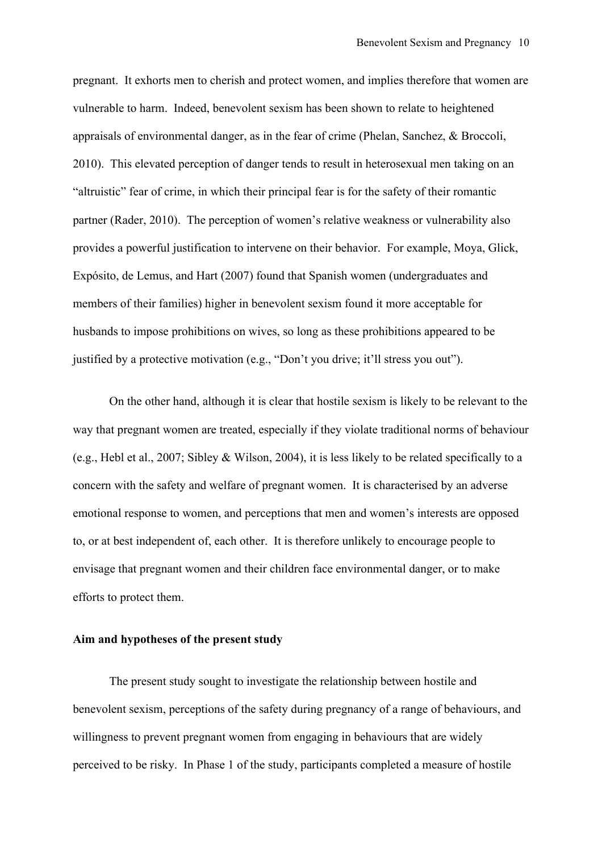pregnant. It exhorts men to cherish and protect women, and implies therefore that women are vulnerable to harm. Indeed, benevolent sexism has been shown to relate to heightened appraisals of environmental danger, as in the fear of crime (Phelan, Sanchez, & Broccoli, 2010). This elevated perception of danger tends to result in heterosexual men taking on an "altruistic" fear of crime, in which their principal fear is for the safety of their romantic partner (Rader, 2010). The perception of women's relative weakness or vulnerability also provides a powerful justification to intervene on their behavior. For example, Moya, Glick, Expósito, de Lemus, and Hart (2007) found that Spanish women (undergraduates and members of their families) higher in benevolent sexism found it more acceptable for husbands to impose prohibitions on wives, so long as these prohibitions appeared to be justified by a protective motivation (e.g., "Don't you drive; it'll stress you out").

On the other hand, although it is clear that hostile sexism is likely to be relevant to the way that pregnant women are treated, especially if they violate traditional norms of behaviour (e.g., Hebl et al., 2007; Sibley & Wilson, 2004), it is less likely to be related specifically to a concern with the safety and welfare of pregnant women. It is characterised by an adverse emotional response to women, and perceptions that men and women's interests are opposed to, or at best independent of, each other. It is therefore unlikely to encourage people to envisage that pregnant women and their children face environmental danger, or to make efforts to protect them.

#### **Aim and hypotheses of the present study**

The present study sought to investigate the relationship between hostile and benevolent sexism, perceptions of the safety during pregnancy of a range of behaviours, and willingness to prevent pregnant women from engaging in behaviours that are widely perceived to be risky. In Phase 1 of the study, participants completed a measure of hostile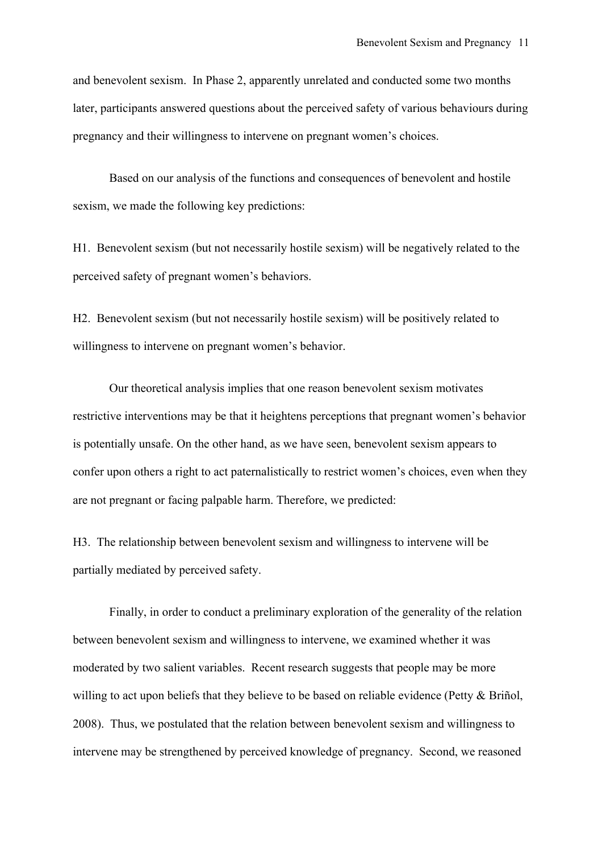and benevolent sexism. In Phase 2, apparently unrelated and conducted some two months later, participants answered questions about the perceived safety of various behaviours during pregnancy and their willingness to intervene on pregnant women's choices.

Based on our analysis of the functions and consequences of benevolent and hostile sexism, we made the following key predictions:

H1. Benevolent sexism (but not necessarily hostile sexism) will be negatively related to the perceived safety of pregnant women's behaviors.

H2. Benevolent sexism (but not necessarily hostile sexism) will be positively related to willingness to intervene on pregnant women's behavior.

Our theoretical analysis implies that one reason benevolent sexism motivates restrictive interventions may be that it heightens perceptions that pregnant women's behavior is potentially unsafe. On the other hand, as we have seen, benevolent sexism appears to confer upon others a right to act paternalistically to restrict women's choices, even when they are not pregnant or facing palpable harm. Therefore, we predicted:

H3. The relationship between benevolent sexism and willingness to intervene will be partially mediated by perceived safety.

Finally, in order to conduct a preliminary exploration of the generality of the relation between benevolent sexism and willingness to intervene, we examined whether it was moderated by two salient variables. Recent research suggests that people may be more willing to act upon beliefs that they believe to be based on reliable evidence (Petty & Briñol, 2008). Thus, we postulated that the relation between benevolent sexism and willingness to intervene may be strengthened by perceived knowledge of pregnancy. Second, we reasoned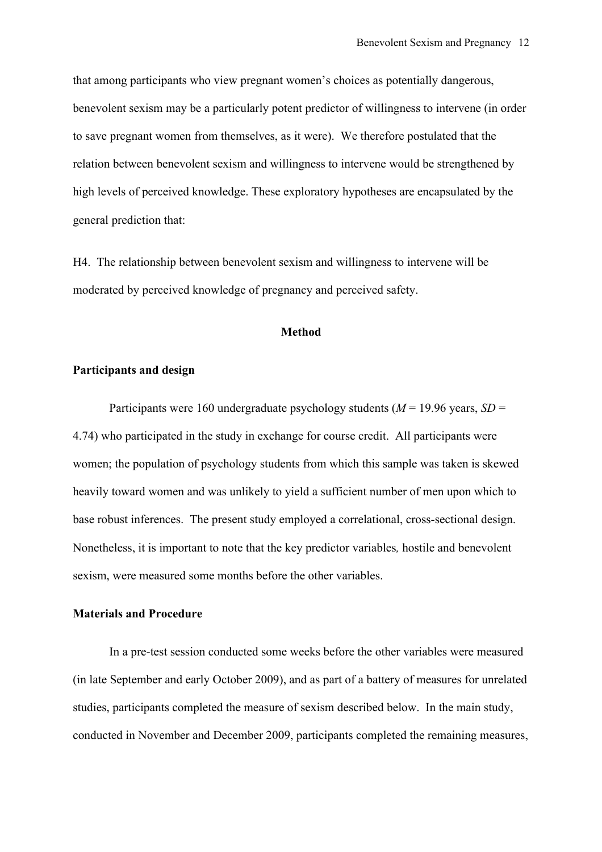that among participants who view pregnant women's choices as potentially dangerous, benevolent sexism may be a particularly potent predictor of willingness to intervene (in order to save pregnant women from themselves, as it were). We therefore postulated that the relation between benevolent sexism and willingness to intervene would be strengthened by high levels of perceived knowledge. These exploratory hypotheses are encapsulated by the general prediction that:

H4. The relationship between benevolent sexism and willingness to intervene will be moderated by perceived knowledge of pregnancy and perceived safety.

#### **Method**

#### **Participants and design**

Participants were 160 undergraduate psychology students (*M* = 19.96 years, *SD* = 4.74) who participated in the study in exchange for course credit. All participants were women; the population of psychology students from which this sample was taken is skewed heavily toward women and was unlikely to yield a sufficient number of men upon which to base robust inferences. The present study employed a correlational, cross-sectional design. Nonetheless, it is important to note that the key predictor variables*,* hostile and benevolent sexism, were measured some months before the other variables.

#### **Materials and Procedure**

In a pre-test session conducted some weeks before the other variables were measured (in late September and early October 2009), and as part of a battery of measures for unrelated studies, participants completed the measure of sexism described below. In the main study, conducted in November and December 2009, participants completed the remaining measures,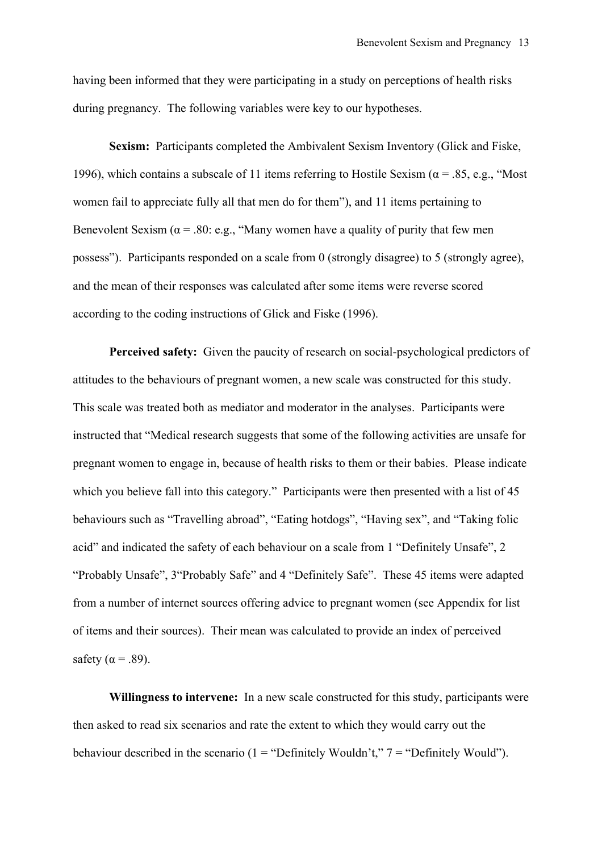having been informed that they were participating in a study on perceptions of health risks during pregnancy. The following variables were key to our hypotheses.

**Sexism:** Participants completed the Ambivalent Sexism Inventory (Glick and Fiske, 1996), which contains a subscale of 11 items referring to Hostile Sexism ( $\alpha$  = .85, e.g., "Most women fail to appreciate fully all that men do for them"), and 11 items pertaining to Benevolent Sexism ( $\alpha$  = .80: e.g., "Many women have a quality of purity that few men possess"). Participants responded on a scale from 0 (strongly disagree) to 5 (strongly agree), and the mean of their responses was calculated after some items were reverse scored according to the coding instructions of Glick and Fiske (1996).

**Perceived safety:** Given the paucity of research on social-psychological predictors of attitudes to the behaviours of pregnant women, a new scale was constructed for this study. This scale was treated both as mediator and moderator in the analyses. Participants were instructed that "Medical research suggests that some of the following activities are unsafe for pregnant women to engage in, because of health risks to them or their babies. Please indicate which you believe fall into this category." Participants were then presented with a list of 45 behaviours such as "Travelling abroad", "Eating hotdogs", "Having sex", and "Taking folic acid" and indicated the safety of each behaviour on a scale from 1 "Definitely Unsafe", 2 "Probably Unsafe", 3"Probably Safe" and 4 "Definitely Safe". These 45 items were adapted from a number of internet sources offering advice to pregnant women (see Appendix for list of items and their sources). Their mean was calculated to provide an index of perceived safety ( $\alpha$  = .89).

**Willingness to intervene:** In a new scale constructed for this study, participants were then asked to read six scenarios and rate the extent to which they would carry out the behaviour described in the scenario (1 = "Definitely Wouldn't,"  $7 =$  "Definitely Would").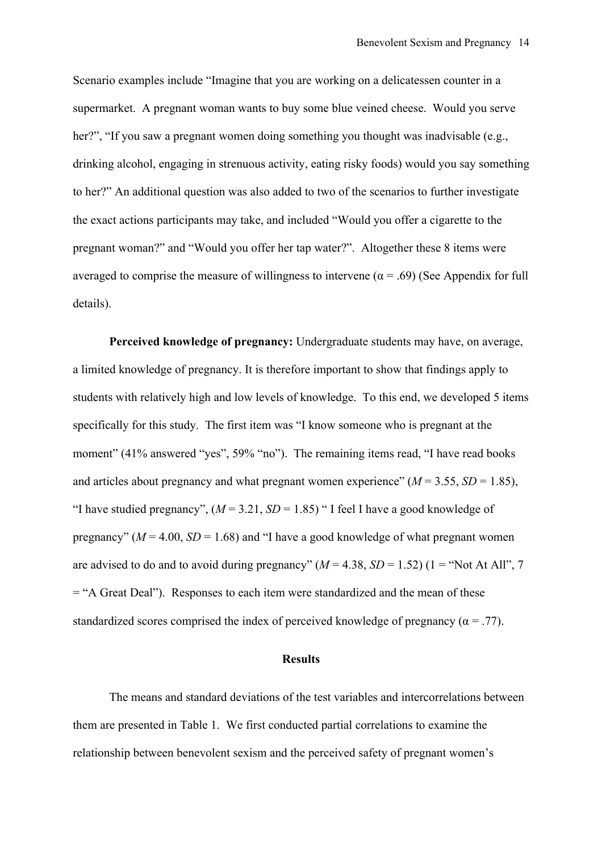Scenario examples include "Imagine that you are working on a delicatessen counter in a supermarket. A pregnant woman wants to buy some blue veined cheese. Would you serve her?", "If you saw a pregnant women doing something you thought was inadvisable (e.g., drinking alcohol, engaging in strenuous activity, eating risky foods) would you say something to her?" An additional question was also added to two of the scenarios to further investigate the exact actions participants may take, and included "Would you offer a cigarette to the pregnant woman?" and "Would you offer her tap water?". Altogether these 8 items were averaged to comprise the measure of willingness to intervene ( $\alpha$  = .69) (See Appendix for full details).

**Perceived knowledge of pregnancy:** Undergraduate students may have, on average, a limited knowledge of pregnancy. It is therefore important to show that findings apply to students with relatively high and low levels of knowledge. To this end, we developed 5 items specifically for this study. The first item was "I know someone who is pregnant at the moment" (41% answered "yes", 59% "no"). The remaining items read, "I have read books and articles about pregnancy and what pregnant women experience"  $(M = 3.55, SD = 1.85)$ , "I have studied pregnancy",  $(M = 3.21, SD = 1.85)$  "I feel I have a good knowledge of pregnancy" ( $M = 4.00$ ,  $SD = 1.68$ ) and "I have a good knowledge of what pregnant women are advised to do and to avoid during pregnancy"  $(M = 4.38, SD = 1.52)$  (1 = "Not At All", 7 = "A Great Deal"). Responses to each item were standardized and the mean of these standardized scores comprised the index of perceived knowledge of pregnancy ( $\alpha = .77$ ).

#### **Results**

The means and standard deviations of the test variables and intercorrelations between them are presented in Table 1. We first conducted partial correlations to examine the relationship between benevolent sexism and the perceived safety of pregnant women's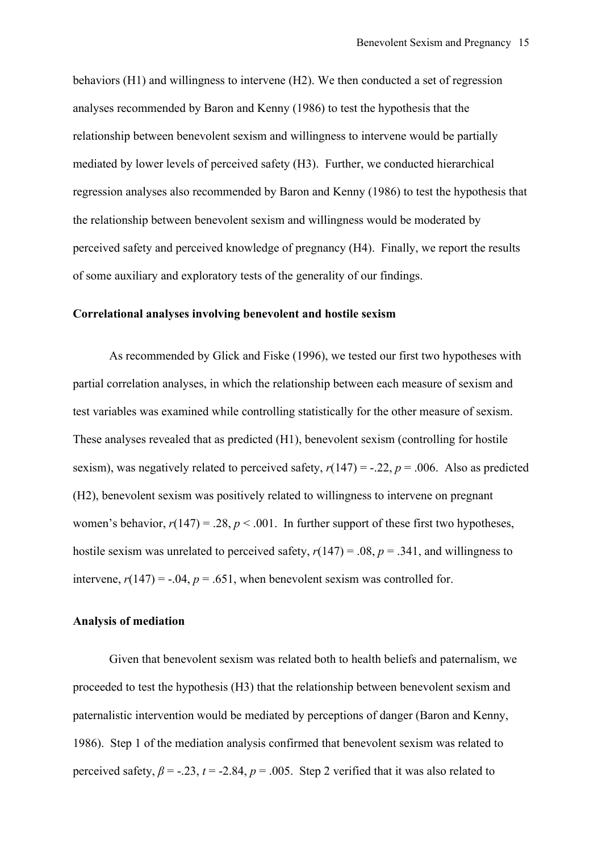behaviors (H1) and willingness to intervene (H2). We then conducted a set of regression analyses recommended by Baron and Kenny (1986) to test the hypothesis that the relationship between benevolent sexism and willingness to intervene would be partially mediated by lower levels of perceived safety (H3). Further, we conducted hierarchical regression analyses also recommended by Baron and Kenny (1986) to test the hypothesis that the relationship between benevolent sexism and willingness would be moderated by perceived safety and perceived knowledge of pregnancy (H4). Finally, we report the results of some auxiliary and exploratory tests of the generality of our findings.

#### **Correlational analyses involving benevolent and hostile sexism**

As recommended by Glick and Fiske (1996), we tested our first two hypotheses with partial correlation analyses, in which the relationship between each measure of sexism and test variables was examined while controlling statistically for the other measure of sexism. These analyses revealed that as predicted (H1), benevolent sexism (controlling for hostile sexism), was negatively related to perceived safety,  $r(147) = -.22$ ,  $p = .006$ . Also as predicted (H2), benevolent sexism was positively related to willingness to intervene on pregnant women's behavior,  $r(147) = .28$ ,  $p < .001$ . In further support of these first two hypotheses, hostile sexism was unrelated to perceived safety,  $r(147) = .08$ ,  $p = .341$ , and willingness to intervene,  $r(147) = -.04$ ,  $p = .651$ , when benevolent sexism was controlled for.

#### **Analysis of mediation**

Given that benevolent sexism was related both to health beliefs and paternalism, we proceeded to test the hypothesis (H3) that the relationship between benevolent sexism and paternalistic intervention would be mediated by perceptions of danger (Baron and Kenny, 1986). Step 1 of the mediation analysis confirmed that benevolent sexism was related to perceived safety,  $\beta = -2.23$ ,  $t = -2.84$ ,  $p = 0.005$ . Step 2 verified that it was also related to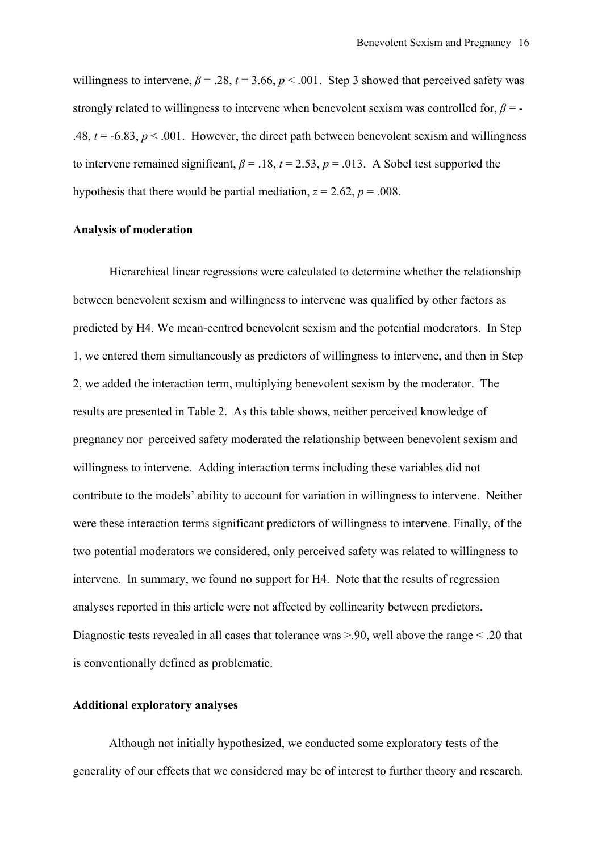willingness to intervene,  $\beta = 0.28$ ,  $t = 3.66$ ,  $p < 0.001$ . Step 3 showed that perceived safety was strongly related to willingness to intervene when benevolent sexism was controlled for,  $\beta$  = -.48,  $t = -6.83$ ,  $p < .001$ . However, the direct path between benevolent sexism and willingness to intervene remained significant,  $\beta = .18$ ,  $t = 2.53$ ,  $p = .013$ . A Sobel test supported the hypothesis that there would be partial mediation,  $z = 2.62$ ,  $p = .008$ .

#### **Analysis of moderation**

Hierarchical linear regressions were calculated to determine whether the relationship between benevolent sexism and willingness to intervene was qualified by other factors as predicted by H4. We mean-centred benevolent sexism and the potential moderators. In Step 1, we entered them simultaneously as predictors of willingness to intervene, and then in Step 2, we added the interaction term, multiplying benevolent sexism by the moderator. The results are presented in Table 2. As this table shows, neither perceived knowledge of pregnancy nor perceived safety moderated the relationship between benevolent sexism and willingness to intervene. Adding interaction terms including these variables did not contribute to the models' ability to account for variation in willingness to intervene. Neither were these interaction terms significant predictors of willingness to intervene. Finally, of the two potential moderators we considered, only perceived safety was related to willingness to intervene. In summary, we found no support for H4. Note that the results of regression analyses reported in this article were not affected by collinearity between predictors. Diagnostic tests revealed in all cases that tolerance was  $> 90$ , well above the range  $< 0.20$  that is conventionally defined as problematic.

#### **Additional exploratory analyses**

Although not initially hypothesized, we conducted some exploratory tests of the generality of our effects that we considered may be of interest to further theory and research.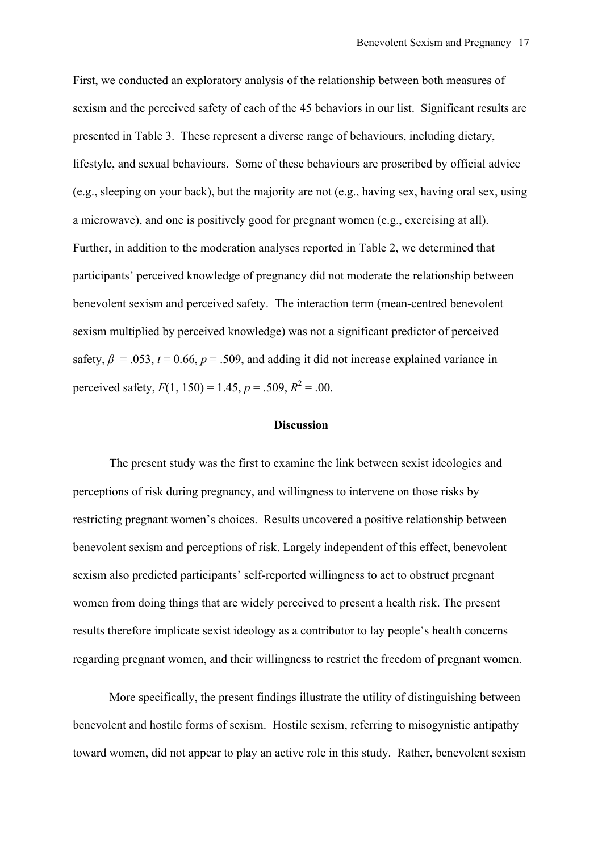First, we conducted an exploratory analysis of the relationship between both measures of sexism and the perceived safety of each of the 45 behaviors in our list. Significant results are presented in Table 3. These represent a diverse range of behaviours, including dietary, lifestyle, and sexual behaviours. Some of these behaviours are proscribed by official advice (e.g., sleeping on your back), but the majority are not (e.g., having sex, having oral sex, using a microwave), and one is positively good for pregnant women (e.g., exercising at all). Further, in addition to the moderation analyses reported in Table 2, we determined that participants' perceived knowledge of pregnancy did not moderate the relationship between benevolent sexism and perceived safety. The interaction term (mean-centred benevolent sexism multiplied by perceived knowledge) was not a significant predictor of perceived safety,  $\beta$  = .053,  $t$  = 0.66,  $p$  = .509, and adding it did not increase explained variance in perceived safety,  $F(1, 150) = 1.45$ ,  $p = .509$ ,  $R^2 = .00$ .

#### **Discussion**

The present study was the first to examine the link between sexist ideologies and perceptions of risk during pregnancy, and willingness to intervene on those risks by restricting pregnant women's choices. Results uncovered a positive relationship between benevolent sexism and perceptions of risk. Largely independent of this effect, benevolent sexism also predicted participants' self-reported willingness to act to obstruct pregnant women from doing things that are widely perceived to present a health risk. The present results therefore implicate sexist ideology as a contributor to lay people's health concerns regarding pregnant women, and their willingness to restrict the freedom of pregnant women.

More specifically, the present findings illustrate the utility of distinguishing between benevolent and hostile forms of sexism. Hostile sexism, referring to misogynistic antipathy toward women, did not appear to play an active role in this study. Rather, benevolent sexism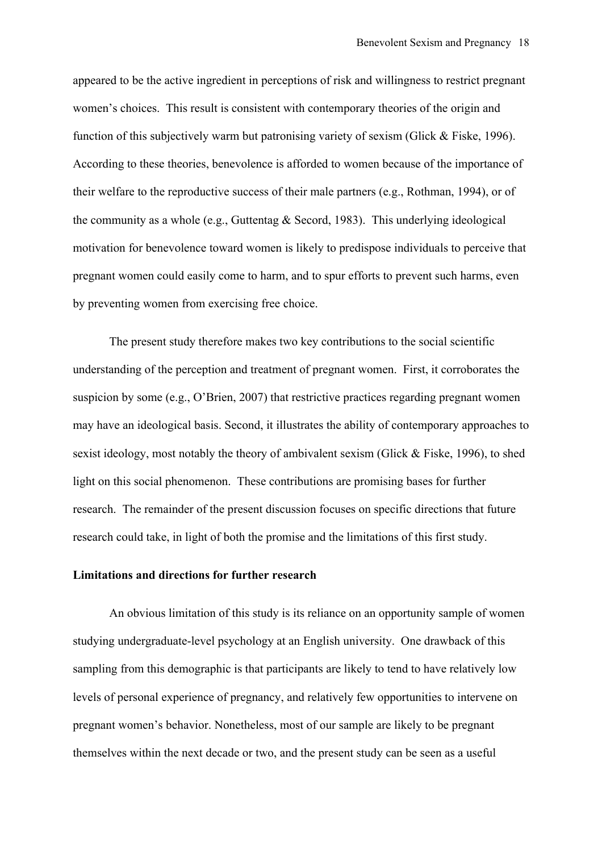appeared to be the active ingredient in perceptions of risk and willingness to restrict pregnant women's choices. This result is consistent with contemporary theories of the origin and function of this subjectively warm but patronising variety of sexism (Glick & Fiske, 1996). According to these theories, benevolence is afforded to women because of the importance of their welfare to the reproductive success of their male partners (e.g., Rothman, 1994), or of the community as a whole (e.g., Guttentag  $&$  Secord, 1983). This underlying ideological motivation for benevolence toward women is likely to predispose individuals to perceive that pregnant women could easily come to harm, and to spur efforts to prevent such harms, even by preventing women from exercising free choice.

The present study therefore makes two key contributions to the social scientific understanding of the perception and treatment of pregnant women. First, it corroborates the suspicion by some (e.g., O'Brien, 2007) that restrictive practices regarding pregnant women may have an ideological basis. Second, it illustrates the ability of contemporary approaches to sexist ideology, most notably the theory of ambivalent sexism (Glick & Fiske, 1996), to shed light on this social phenomenon. These contributions are promising bases for further research. The remainder of the present discussion focuses on specific directions that future research could take, in light of both the promise and the limitations of this first study.

#### **Limitations and directions for further research**

An obvious limitation of this study is its reliance on an opportunity sample of women studying undergraduate-level psychology at an English university. One drawback of this sampling from this demographic is that participants are likely to tend to have relatively low levels of personal experience of pregnancy, and relatively few opportunities to intervene on pregnant women's behavior. Nonetheless, most of our sample are likely to be pregnant themselves within the next decade or two, and the present study can be seen as a useful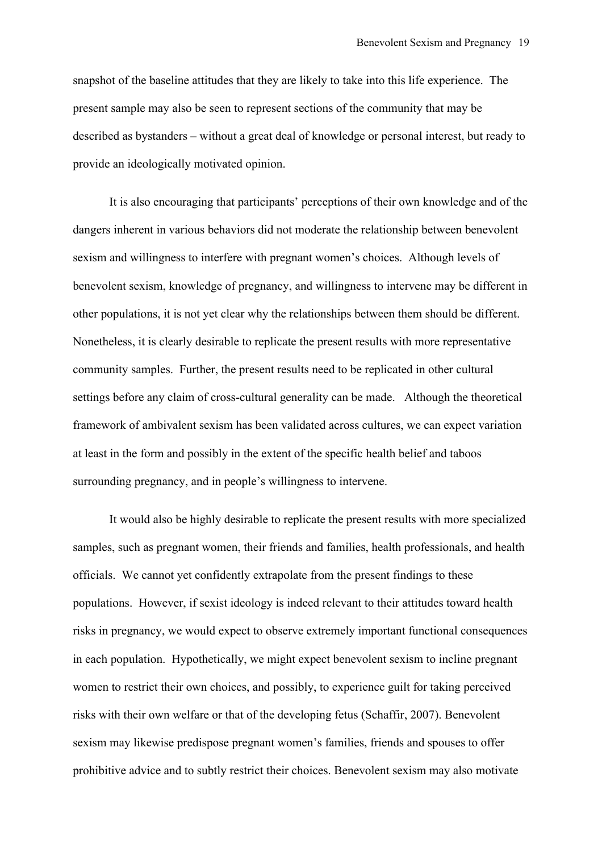snapshot of the baseline attitudes that they are likely to take into this life experience. The present sample may also be seen to represent sections of the community that may be described as bystanders – without a great deal of knowledge or personal interest, but ready to provide an ideologically motivated opinion.

It is also encouraging that participants' perceptions of their own knowledge and of the dangers inherent in various behaviors did not moderate the relationship between benevolent sexism and willingness to interfere with pregnant women's choices. Although levels of benevolent sexism, knowledge of pregnancy, and willingness to intervene may be different in other populations, it is not yet clear why the relationships between them should be different. Nonetheless, it is clearly desirable to replicate the present results with more representative community samples. Further, the present results need to be replicated in other cultural settings before any claim of cross-cultural generality can be made. Although the theoretical framework of ambivalent sexism has been validated across cultures, we can expect variation at least in the form and possibly in the extent of the specific health belief and taboos surrounding pregnancy, and in people's willingness to intervene.

It would also be highly desirable to replicate the present results with more specialized samples, such as pregnant women, their friends and families, health professionals, and health officials. We cannot yet confidently extrapolate from the present findings to these populations. However, if sexist ideology is indeed relevant to their attitudes toward health risks in pregnancy, we would expect to observe extremely important functional consequences in each population. Hypothetically, we might expect benevolent sexism to incline pregnant women to restrict their own choices, and possibly, to experience guilt for taking perceived risks with their own welfare or that of the developing fetus (Schaffir, 2007). Benevolent sexism may likewise predispose pregnant women's families, friends and spouses to offer prohibitive advice and to subtly restrict their choices. Benevolent sexism may also motivate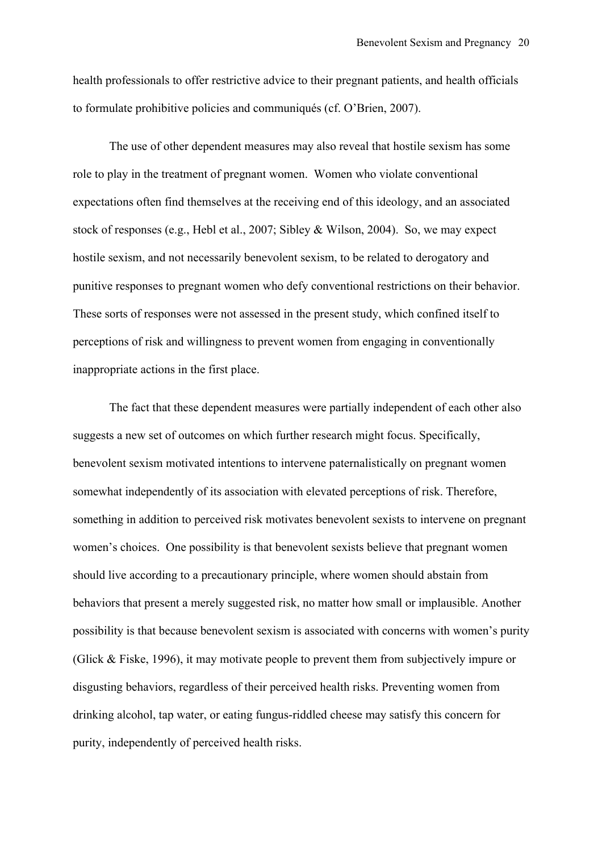health professionals to offer restrictive advice to their pregnant patients, and health officials to formulate prohibitive policies and communiqués (cf. O'Brien, 2007).

The use of other dependent measures may also reveal that hostile sexism has some role to play in the treatment of pregnant women. Women who violate conventional expectations often find themselves at the receiving end of this ideology, and an associated stock of responses (e.g., Hebl et al., 2007; Sibley & Wilson, 2004). So, we may expect hostile sexism, and not necessarily benevolent sexism, to be related to derogatory and punitive responses to pregnant women who defy conventional restrictions on their behavior. These sorts of responses were not assessed in the present study, which confined itself to perceptions of risk and willingness to prevent women from engaging in conventionally inappropriate actions in the first place.

The fact that these dependent measures were partially independent of each other also suggests a new set of outcomes on which further research might focus. Specifically, benevolent sexism motivated intentions to intervene paternalistically on pregnant women somewhat independently of its association with elevated perceptions of risk. Therefore, something in addition to perceived risk motivates benevolent sexists to intervene on pregnant women's choices. One possibility is that benevolent sexists believe that pregnant women should live according to a precautionary principle, where women should abstain from behaviors that present a merely suggested risk, no matter how small or implausible. Another possibility is that because benevolent sexism is associated with concerns with women's purity (Glick & Fiske, 1996), it may motivate people to prevent them from subjectively impure or disgusting behaviors, regardless of their perceived health risks. Preventing women from drinking alcohol, tap water, or eating fungus-riddled cheese may satisfy this concern for purity, independently of perceived health risks.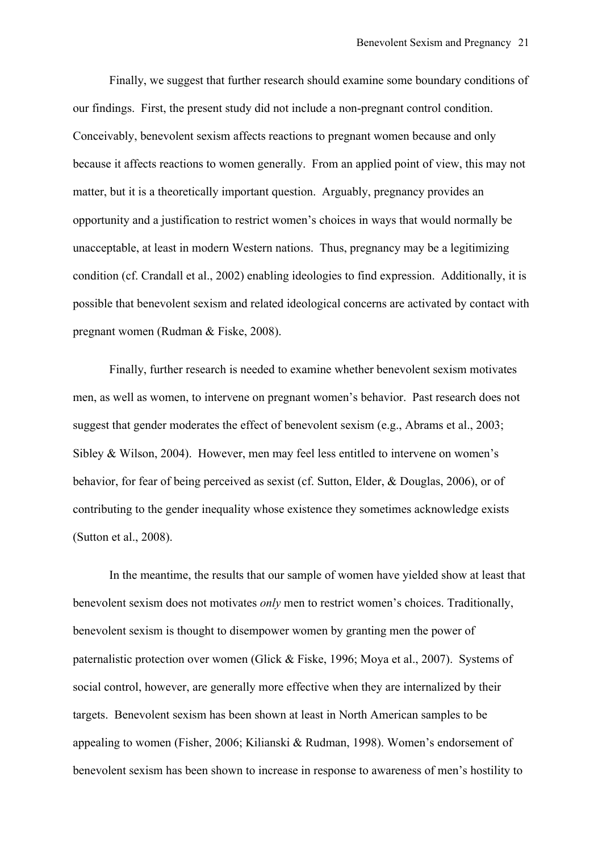Finally, we suggest that further research should examine some boundary conditions of our findings. First, the present study did not include a non-pregnant control condition. Conceivably, benevolent sexism affects reactions to pregnant women because and only because it affects reactions to women generally. From an applied point of view, this may not matter, but it is a theoretically important question. Arguably, pregnancy provides an opportunity and a justification to restrict women's choices in ways that would normally be unacceptable, at least in modern Western nations. Thus, pregnancy may be a legitimizing condition (cf. Crandall et al., 2002) enabling ideologies to find expression. Additionally, it is possible that benevolent sexism and related ideological concerns are activated by contact with pregnant women (Rudman & Fiske, 2008).

Finally, further research is needed to examine whether benevolent sexism motivates men, as well as women, to intervene on pregnant women's behavior. Past research does not suggest that gender moderates the effect of benevolent sexism (e.g., Abrams et al., 2003; Sibley & Wilson, 2004). However, men may feel less entitled to intervene on women's behavior, for fear of being perceived as sexist (cf. Sutton, Elder, & Douglas, 2006), or of contributing to the gender inequality whose existence they sometimes acknowledge exists (Sutton et al., 2008).

In the meantime, the results that our sample of women have yielded show at least that benevolent sexism does not motivates *only* men to restrict women's choices. Traditionally, benevolent sexism is thought to disempower women by granting men the power of paternalistic protection over women (Glick & Fiske, 1996; Moya et al., 2007). Systems of social control, however, are generally more effective when they are internalized by their targets. Benevolent sexism has been shown at least in North American samples to be appealing to women (Fisher, 2006; Kilianski & Rudman, 1998). Women's endorsement of benevolent sexism has been shown to increase in response to awareness of men's hostility to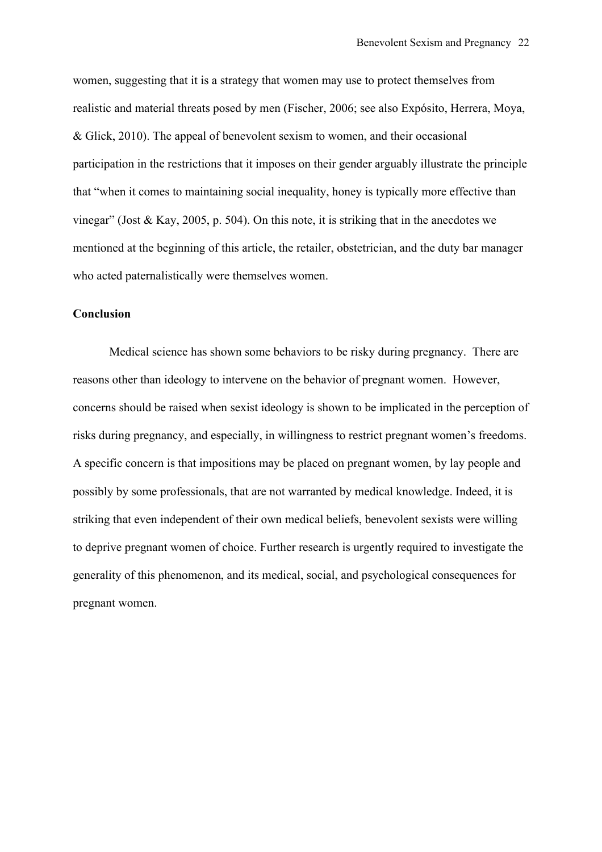women, suggesting that it is a strategy that women may use to protect themselves from realistic and material threats posed by men (Fischer, 2006; see also Expósito, Herrera, Moya, & Glick, 2010). The appeal of benevolent sexism to women, and their occasional participation in the restrictions that it imposes on their gender arguably illustrate the principle that "when it comes to maintaining social inequality, honey is typically more effective than vinegar" (Jost & Kay, 2005, p. 504). On this note, it is striking that in the anecdotes we mentioned at the beginning of this article, the retailer, obstetrician, and the duty bar manager who acted paternalistically were themselves women.

#### **Conclusion**

Medical science has shown some behaviors to be risky during pregnancy. There are reasons other than ideology to intervene on the behavior of pregnant women. However, concerns should be raised when sexist ideology is shown to be implicated in the perception of risks during pregnancy, and especially, in willingness to restrict pregnant women's freedoms. A specific concern is that impositions may be placed on pregnant women, by lay people and possibly by some professionals, that are not warranted by medical knowledge. Indeed, it is striking that even independent of their own medical beliefs, benevolent sexists were willing to deprive pregnant women of choice. Further research is urgently required to investigate the generality of this phenomenon, and its medical, social, and psychological consequences for pregnant women.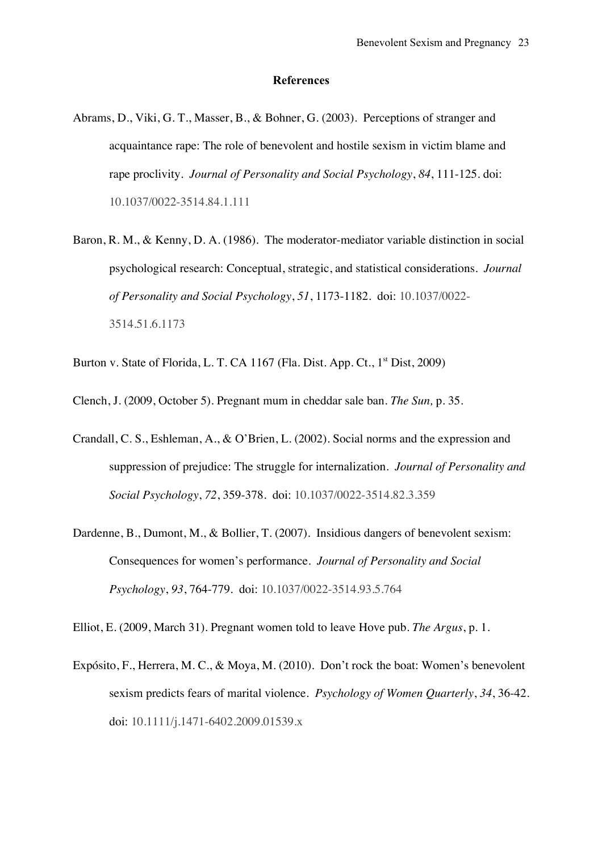#### **References**

- Abrams, D., Viki, G. T., Masser, B., & Bohner, G. (2003). Perceptions of stranger and acquaintance rape: The role of benevolent and hostile sexism in victim blame and rape proclivity. *Journal of Personality and Social Psychology*, *84*, 111-125. doi: 10.1037/0022-3514.84.1.111
- Baron, R. M., & Kenny, D. A. (1986). The moderator-mediator variable distinction in social psychological research: Conceptual, strategic, and statistical considerations. *Journal of Personality and Social Psychology*, *51*, 1173-1182. doi: 10.1037/0022- 3514.51.6.1173
- Burton v. State of Florida, L. T. CA 1167 (Fla. Dist. App. Ct.,  $1<sup>st</sup>$  Dist, 2009)
- Clench, J. (2009, October 5). Pregnant mum in cheddar sale ban. *The Sun,* p. 35.
- Crandall, C. S., Eshleman, A., & O'Brien, L. (2002). Social norms and the expression and suppression of prejudice: The struggle for internalization. *Journal of Personality and Social Psychology*, *72*, 359-378. doi: 10.1037/0022-3514.82.3.359
- Dardenne, B., Dumont, M., & Bollier, T. (2007). Insidious dangers of benevolent sexism: Consequences for women's performance. *Journal of Personality and Social Psychology*, *93*, 764-779. doi: 10.1037/0022-3514.93.5.764

Elliot, E. (2009, March 31). Pregnant women told to leave Hove pub. *The Argus*, p. 1.

Expósito, F., Herrera, M. C., & Moya, M. (2010). Don't rock the boat: Women's benevolent sexism predicts fears of marital violence. *Psychology of Women Quarterly*, *34*, 36-42. doi: 10.1111/j.1471-6402.2009.01539.x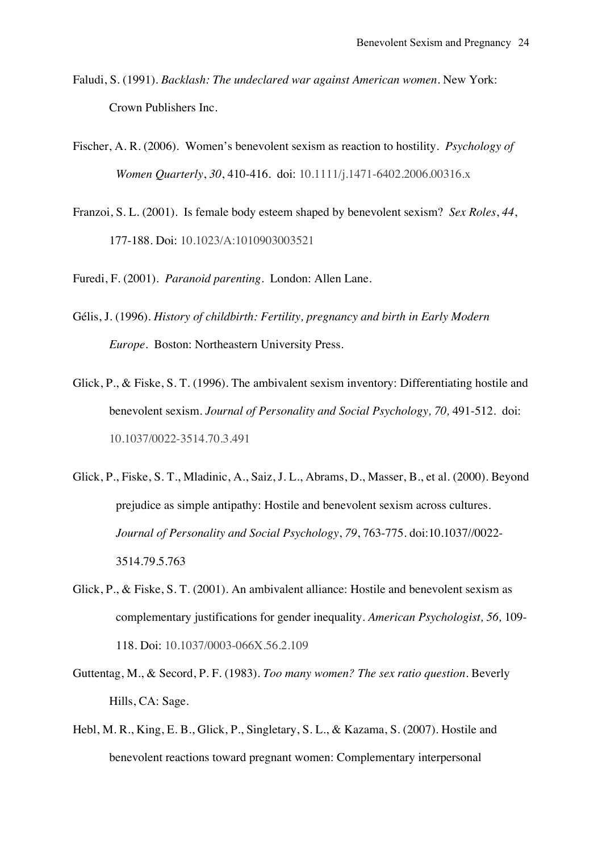- Faludi, S. (1991). *Backlash: The undeclared war against American women.* New York: Crown Publishers Inc.
- Fischer, A. R. (2006). Women's benevolent sexism as reaction to hostility. *Psychology of Women Quarterly*, *30*, 410-416. doi: 10.1111/j.1471-6402.2006.00316.x
- Franzoi, S. L. (2001). Is female body esteem shaped by benevolent sexism? *Sex Roles*, *44*, 177-188. Doi: 10.1023/A:1010903003521
- Furedi, F. (2001). *Paranoid parenting*. London: Allen Lane.
- Gélis, J. (1996). *History of childbirth: Fertility, pregnancy and birth in Early Modern Europe*. Boston: Northeastern University Press.
- Glick, P., & Fiske, S. T. (1996). The ambivalent sexism inventory: Differentiating hostile and benevolent sexism. *Journal of Personality and Social Psychology, 70,* 491-512. doi: 10.1037/0022-3514.70.3.491
- Glick, P., Fiske, S. T., Mladinic, A., Saiz, J. L., Abrams, D., Masser, B., et al. (2000). Beyond prejudice as simple antipathy: Hostile and benevolent sexism across cultures. *Journal of Personality and Social Psychology*, *79*, 763-775. doi:10.1037//0022- 3514.79.5.763
- Glick, P., & Fiske, S. T. (2001). An ambivalent alliance: Hostile and benevolent sexism as complementary justifications for gender inequality. *American Psychologist, 56,* 109- 118. Doi: 10.1037/0003-066X.56.2.109
- Guttentag, M., & Secord, P. F. (1983). *Too many women? The sex ratio question*. Beverly Hills, CA: Sage.
- Hebl, M. R., King, E. B., Glick, P., Singletary, S. L., & Kazama, S. (2007). Hostile and benevolent reactions toward pregnant women: Complementary interpersonal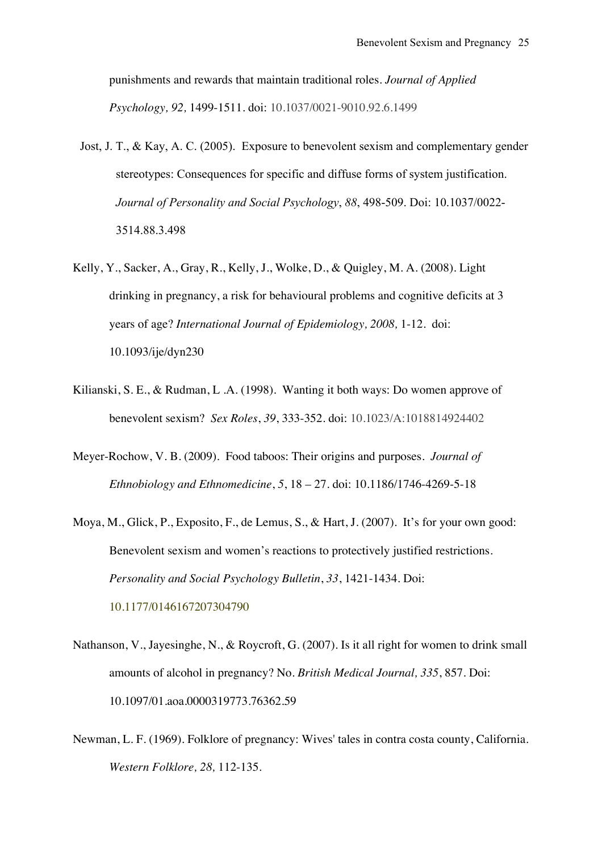punishments and rewards that maintain traditional roles. *Journal of Applied Psychology, 92,* 1499-1511. doi: 10.1037/0021-9010.92.6.1499

- Jost, J. T., & Kay, A. C. (2005). Exposure to benevolent sexism and complementary gender stereotypes: Consequences for specific and diffuse forms of system justification. *Journal of Personality and Social Psychology*, *88*, 498-509. Doi: 10.1037/0022- 3514.88.3.498
- Kelly, Y., Sacker, A., Gray, R., Kelly, J., Wolke, D., & Quigley, M. A. (2008). Light drinking in pregnancy, a risk for behavioural problems and cognitive deficits at 3 years of age? *International Journal of Epidemiology, 2008,* 1-12. doi: 10.1093/ije/dyn230
- Kilianski, S. E., & Rudman, L .A. (1998). Wanting it both ways: Do women approve of benevolent sexism? *Sex Roles*, *39*, 333-352. doi: 10.1023/A:1018814924402
- Meyer-Rochow, V. B. (2009). Food taboos: Their origins and purposes*. Journal of Ethnobiology and Ethnomedicine*, *5*, 18 – 27. doi: 10.1186/1746-4269-5-18
- Moya, M., Glick, P., Exposito, F., de Lemus, S., & Hart, J. (2007). It's for your own good: Benevolent sexism and women's reactions to protectively justified restrictions. *Personality and Social Psychology Bulletin*, *33*, 1421-1434. Doi: 10.1177/0146167207304790
- Nathanson, V., Jayesinghe, N., & Roycroft, G. (2007). Is it all right for women to drink small amounts of alcohol in pregnancy? No. *British Medical Journal, 335*, 857. Doi: 10.1097/01.aoa.0000319773.76362.59
- Newman, L. F. (1969). Folklore of pregnancy: Wives' tales in contra costa county, California. *Western Folklore, 28,* 112-135.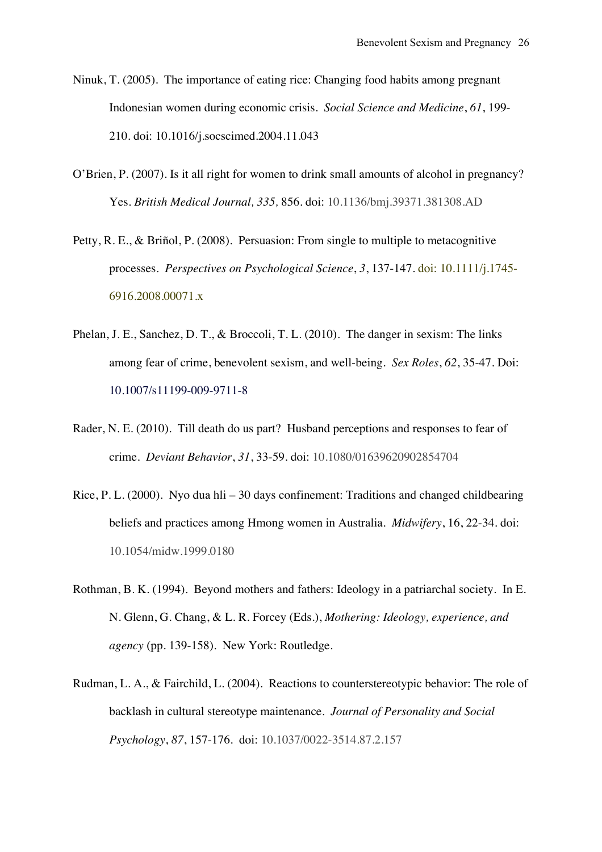- Ninuk, T. (2005). The importance of eating rice: Changing food habits among pregnant Indonesian women during economic crisis. *Social Science and Medicine*, *61*, 199- 210. doi: 10.1016/j.socscimed.2004.11.043
- O'Brien, P. (2007). Is it all right for women to drink small amounts of alcohol in pregnancy? Yes. *British Medical Journal, 335,* 856. doi: 10.1136/bmj.39371.381308.AD
- Petty, R. E., & Briñol, P. (2008). Persuasion: From single to multiple to metacognitive processes. *Perspectives on Psychological Science*, *3*, 137-147. doi: 10.1111/j.1745- 6916.2008.00071.x
- Phelan, J. E., Sanchez, D. T., & Broccoli, T. L. (2010). The danger in sexism: The links among fear of crime, benevolent sexism, and well-being. *Sex Roles*, *62*, 35-47. Doi: 10.1007/s11199-009-9711-8
- Rader, N. E. (2010). Till death do us part? Husband perceptions and responses to fear of crime. *Deviant Behavior*, *31*, 33-59. doi: 10.1080/01639620902854704
- Rice, P. L. (2000). Nyo dua hli 30 days confinement: Traditions and changed childbearing beliefs and practices among Hmong women in Australia. *Midwifery*, 16, 22-34. doi: 10.1054/midw.1999.0180
- Rothman, B. K. (1994). Beyond mothers and fathers: Ideology in a patriarchal society. In E. N. Glenn, G. Chang, & L. R. Forcey (Eds.), *Mothering: Ideology, experience, and agency* (pp. 139-158). New York: Routledge.
- Rudman, L. A., & Fairchild, L. (2004). Reactions to counterstereotypic behavior: The role of backlash in cultural stereotype maintenance. *Journal of Personality and Social Psychology*, *87*, 157-176. doi: 10.1037/0022-3514.87.2.157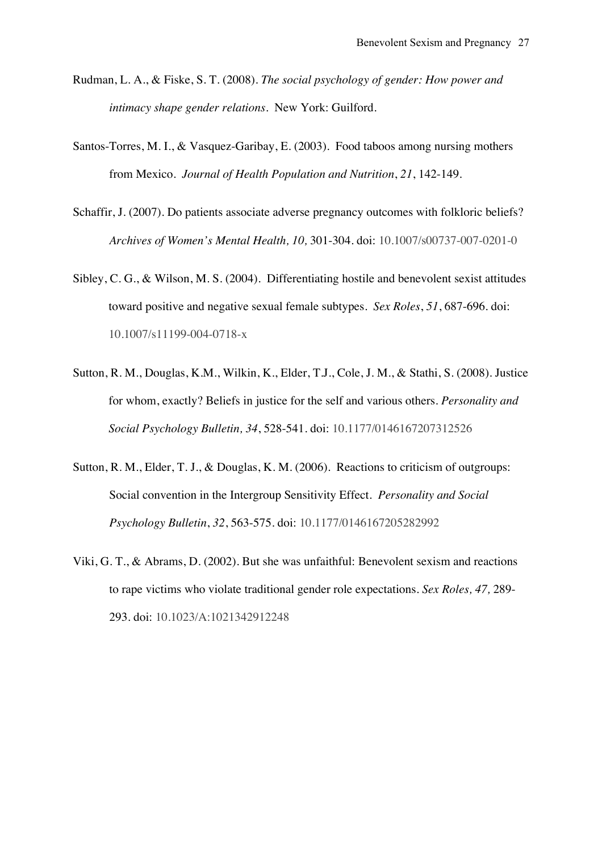- Rudman, L. A., & Fiske, S. T. (2008). *The social psychology of gender: How power and intimacy shape gender relations*. New York: Guilford.
- Santos-Torres, M. I., & Vasquez-Garibay, E. (2003). Food taboos among nursing mothers from Mexico. *Journal of Health Population and Nutrition*, *21*, 142-149.
- Schaffir, J. (2007). Do patients associate adverse pregnancy outcomes with folkloric beliefs? *Archives of Women's Mental Health, 10,* 301-304. doi: 10.1007/s00737-007-0201-0
- Sibley, C. G., & Wilson, M. S. (2004). Differentiating hostile and benevolent sexist attitudes toward positive and negative sexual female subtypes. *Sex Roles*, *51*, 687-696. doi: 10.1007/s11199-004-0718-x
- Sutton, R. M., Douglas, K.M., Wilkin, K., Elder, T.J., Cole, J. M., & Stathi, S. (2008). Justice for whom, exactly? Beliefs in justice for the self and various others. *Personality and Social Psychology Bulletin, 34*, 528-541. doi: 10.1177/0146167207312526
- Sutton, R. M., Elder, T. J., & Douglas, K. M. (2006). Reactions to criticism of outgroups: Social convention in the Intergroup Sensitivity Effect. *Personality and Social Psychology Bulletin*, *32*, 563-575. doi: 10.1177/0146167205282992
- Viki, G. T., & Abrams, D. (2002). But she was unfaithful: Benevolent sexism and reactions to rape victims who violate traditional gender role expectations. *Sex Roles, 47,* 289- 293. doi: 10.1023/A:1021342912248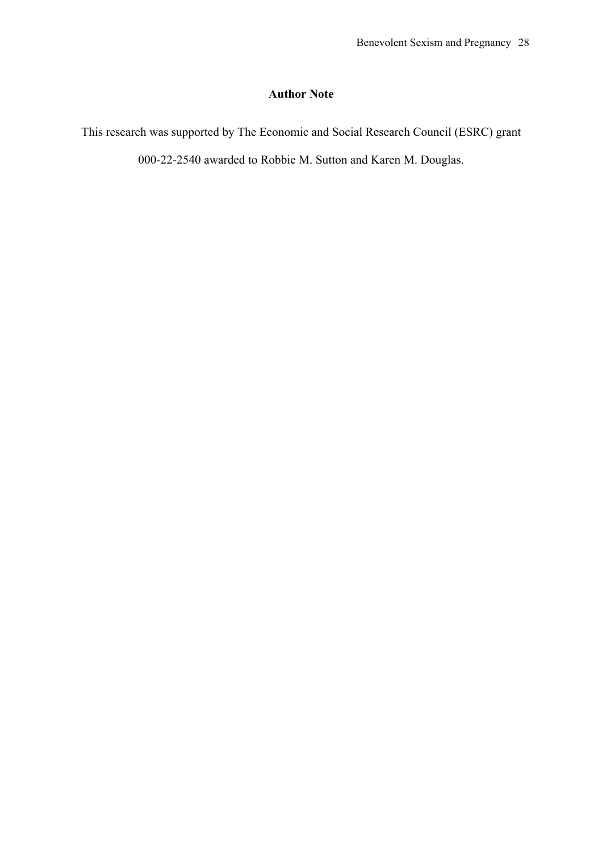#### **Author Note**

This research was supported by The Economic and Social Research Council (ESRC) grant 000-22-2540 awarded to Robbie M. Sutton and Karen M. Douglas.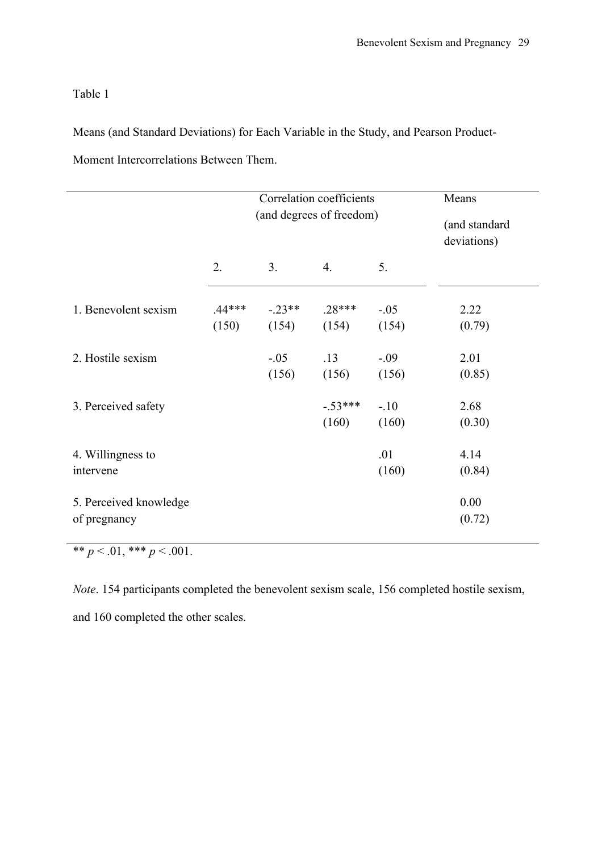Table 1

Means (and Standard Deviations) for Each Variable in the Study, and Pearson Product-Moment Intercorrelations Between Them.

|                                        |                   | Correlation coefficients<br>(and degrees of freedom) | Means<br>(and standard<br>deviations) |                 |                |
|----------------------------------------|-------------------|------------------------------------------------------|---------------------------------------|-----------------|----------------|
|                                        | 2.                | 3 <sub>1</sub>                                       | $\overline{4}$ .                      | 5.              |                |
| 1. Benevolent sexism                   | $.44***$<br>(150) | $-.23**$<br>(154)                                    | $.28***$<br>(154)                     | $-.05$<br>(154) | 2.22<br>(0.79) |
| 2. Hostile sexism                      |                   | $-.05$<br>(156)                                      | .13<br>(156)                          | $-.09$<br>(156) | 2.01<br>(0.85) |
| 3. Perceived safety                    |                   |                                                      | $-.53***$<br>(160)                    | $-.10$<br>(160) | 2.68<br>(0.30) |
| 4. Willingness to<br>intervene         |                   |                                                      |                                       | .01<br>(160)    | 4.14<br>(0.84) |
| 5. Perceived knowledge<br>of pregnancy |                   |                                                      |                                       |                 | 0.00<br>(0.72) |

 $** p < .01, ** p < .001.$ 

*Note*. 154 participants completed the benevolent sexism scale, 156 completed hostile sexism, and 160 completed the other scales.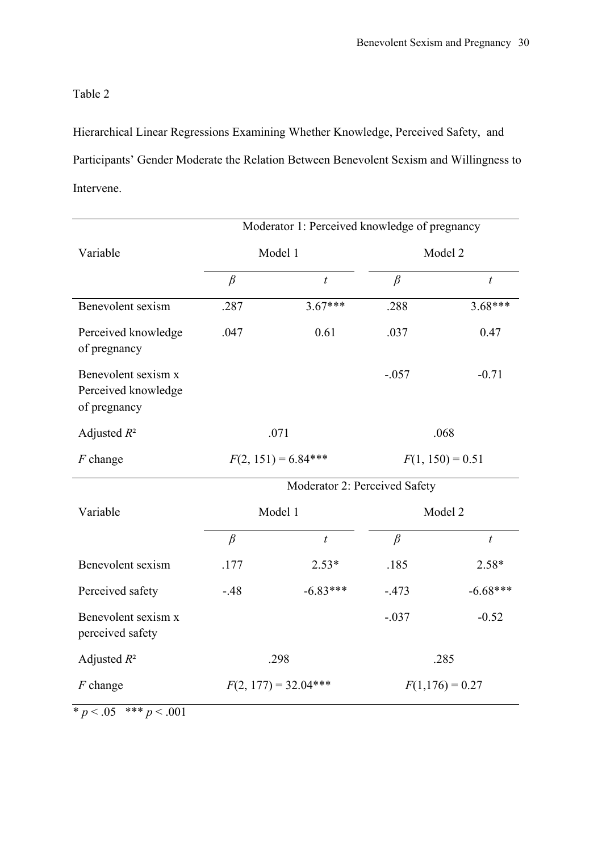#### Table 2

Hierarchical Linear Regressions Examining Whether Knowledge, Perceived Safety, and Participants' Gender Moderate the Relation Between Benevolent Sexism and Willingness to Intervene.

|                                                            | Moderator 1: Perceived knowledge of pregnancy |                  |                    |                  |  |
|------------------------------------------------------------|-----------------------------------------------|------------------|--------------------|------------------|--|
| Variable                                                   | Model 1                                       |                  | Model 2            |                  |  |
|                                                            | $\beta$                                       | $\boldsymbol{t}$ | $\beta$            | $\boldsymbol{t}$ |  |
| Benevolent sexism                                          | .287                                          | $3.67***$        | .288               | $3.68***$        |  |
| Perceived knowledge<br>of pregnancy                        | .047                                          | 0.61             | .037               | 0.47             |  |
| Benevolent sexism x<br>Perceived knowledge<br>of pregnancy |                                               |                  | $-.057$            | $-0.71$          |  |
| Adjusted $R^2$                                             | .071                                          |                  | .068               |                  |  |
| $F$ change                                                 | $F(2, 151) = 6.84***$                         |                  | $F(1, 150) = 0.51$ |                  |  |
|                                                            | Moderator 2: Perceived Safety                 |                  |                    |                  |  |
| Variable                                                   | Model 1                                       |                  | Model 2            |                  |  |
|                                                            | $\beta$                                       | $\boldsymbol{t}$ | $\beta$            | $\boldsymbol{t}$ |  |
| Benevolent sexism                                          | .177                                          | $2.53*$          | .185               | 2.58*            |  |
| Perceived safety                                           | $-48$                                         | $-6.83***$       | $-.473$            | $-6.68***$       |  |
| Benevolent sexism x<br>perceived safety                    |                                               |                  | $-.037$            | $-0.52$          |  |
| Adjusted $R^2$                                             | .298                                          |                  | .285               |                  |  |
| $F$ change                                                 | $F(2, 177) = 32.04***$                        |                  | $F(1,176) = 0.27$  |                  |  |

 $\frac{p}{p}$  < .05  $\frac{***}{p}$  < .001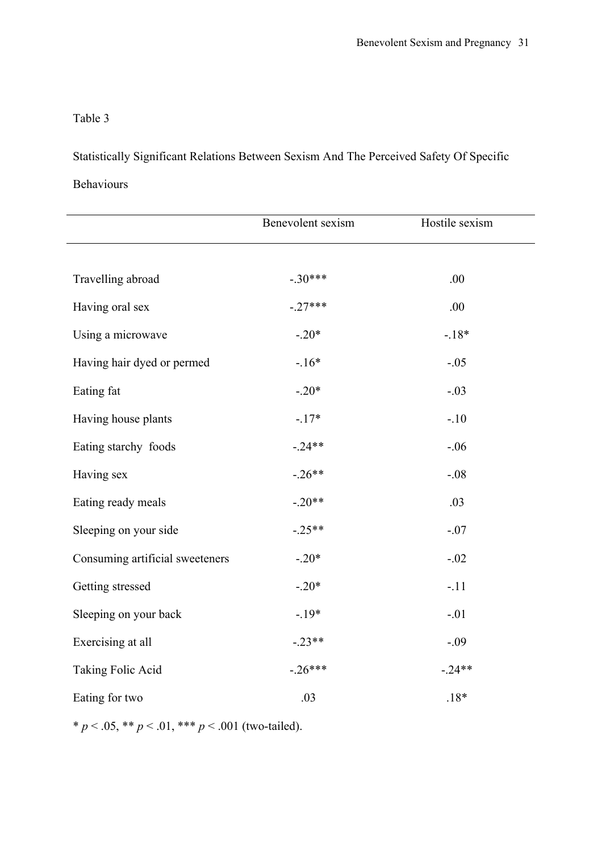#### Table 3

Statistically Significant Relations Between Sexism And The Perceived Safety Of Specific Behaviours

|                                 | Benevolent sexism | Hostile sexism |
|---------------------------------|-------------------|----------------|
|                                 |                   |                |
| Travelling abroad               | $-.30***$         | .00            |
| Having oral sex                 | $-.27***$         | .00            |
| Using a microwave               | $-.20*$           | $-18*$         |
| Having hair dyed or permed      | $-.16*$           | $-.05$         |
| Eating fat                      | $-.20*$           | $-.03$         |
| Having house plants             | $-17*$            | $-.10$         |
| Eating starchy foods            | $-24**$           | $-.06$         |
| Having sex                      | $-.26**$          | $-.08$         |
| Eating ready meals              | $-.20**$          | .03            |
| Sleeping on your side           | $-.25**$          | $-.07$         |
| Consuming artificial sweeteners | $-.20*$           | $-.02$         |
| Getting stressed                | $-.20*$           | $-.11$         |
| Sleeping on your back           | $-.19*$           | $-.01$         |
| Exercising at all               | $-.23**$          | $-.09$         |
| Taking Folic Acid               | $-.26***$         | $-24**$        |
| Eating for two                  | .03               | $.18*$         |

\*  $p < .05$ , \*\*  $p < .01$ , \*\*\*  $p < .001$  (two-tailed).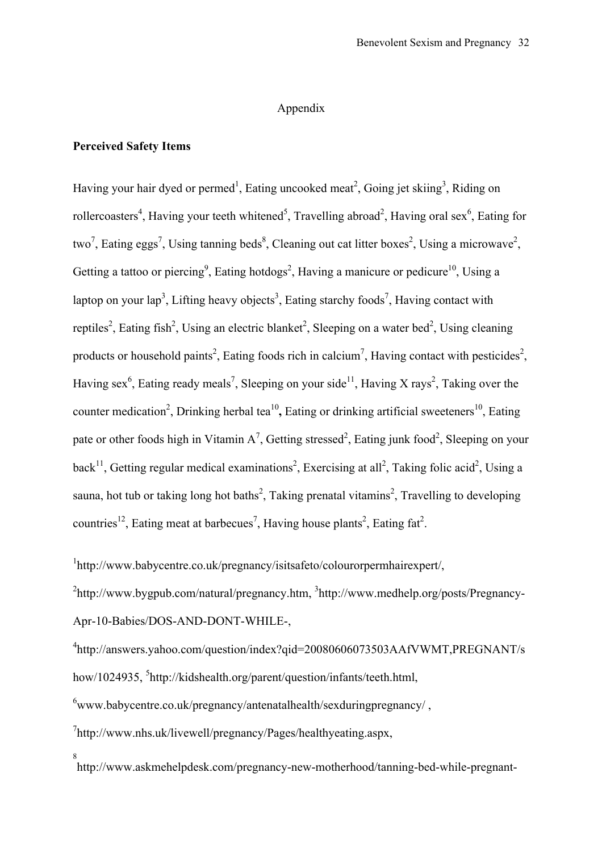#### Appendix

#### **Perceived Safety Items**

Having your hair dyed or permed<sup>1</sup>, Eating uncooked meat<sup>2</sup>, Going jet skiing<sup>3</sup>, Riding on rollercoasters<sup>4</sup>, Having your teeth whitened<sup>5</sup>, Travelling abroad<sup>2</sup>, Having oral sex<sup>6</sup>, Eating for two<sup>7</sup>, Eating eggs<sup>7</sup>, Using tanning beds<sup>8</sup>, Cleaning out cat litter boxes<sup>2</sup>, Using a microwave<sup>2</sup>, Getting a tattoo or piercing<sup>9</sup>, Eating hotdogs<sup>2</sup>, Having a manicure or pedicure<sup>10</sup>, Using a laptop on your lap<sup>3</sup>, Lifting heavy objects<sup>3</sup>, Eating starchy foods<sup>7</sup>, Having contact with reptiles<sup>2</sup>, Eating fish<sup>2</sup>, Using an electric blanket<sup>2</sup>, Sleeping on a water bed<sup>2</sup>, Using cleaning products or household paints<sup>2</sup>, Eating foods rich in calcium<sup>7</sup>, Having contact with pesticides<sup>2</sup>, Having sex<sup>6</sup>, Eating ready meals<sup>7</sup>, Sleeping on your side<sup>11</sup>, Having X rays<sup>2</sup>, Taking over the counter medication<sup>2</sup>, Drinking herbal tea<sup>10</sup>, Eating or drinking artificial sweeteners<sup>10</sup>, Eating pate or other foods high in Vitamin  $A^7$ , Getting stressed<sup>2</sup>, Eating junk food<sup>2</sup>, Sleeping on your back<sup>11</sup>, Getting regular medical examinations<sup>2</sup>, Exercising at all<sup>2</sup>, Taking folic acid<sup>2</sup>, Using a sauna, hot tub or taking long hot baths<sup>2</sup>, Taking prenatal vitamins<sup>2</sup>, Travelling to developing countries<sup>12</sup>, Eating meat at barbecues<sup>7</sup>, Having house plants<sup>2</sup>, Eating fat<sup>2</sup>.

1 http://www.babycentre.co.uk/pregnancy/isitsafeto/colourorpermhairexpert/,

<sup>2</sup>http://www.bygpub.com/natural/pregnancy.htm, <sup>3</sup>http://www.medhelp.org/posts/Pregnancy-Apr-10-Babies/DOS-AND-DONT-WHILE-,

4 http://answers.yahoo.com/question/index?qid=20080606073503AAfVWMT,PREGNANT/s how/1024935, <sup>5</sup>http://kidshealth.org/parent/question/infants/teeth.html,

<sup>6</sup>www.babycentre.co.uk/pregnancy/antenatalhealth/sexduringpregnancy/ ,

7 http://www.nhs.uk/livewell/pregnancy/Pages/healthyeating.aspx,

8 http://www.askmehelpdesk.com/pregnancy-new-motherhood/tanning-bed-while-pregnant